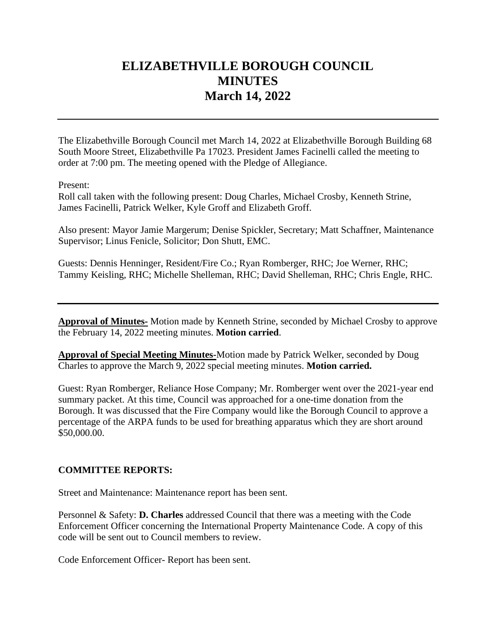# **ELIZABETHVILLE BOROUGH COUNCIL MINUTES March 14, 2022**

The Elizabethville Borough Council met March 14, 2022 at Elizabethville Borough Building 68 South Moore Street, Elizabethville Pa 17023. President James Facinelli called the meeting to order at 7:00 pm. The meeting opened with the Pledge of Allegiance.

Present:

Roll call taken with the following present: Doug Charles, Michael Crosby, Kenneth Strine, James Facinelli, Patrick Welker, Kyle Groff and Elizabeth Groff.

Also present: Mayor Jamie Margerum; Denise Spickler, Secretary; Matt Schaffner, Maintenance Supervisor; Linus Fenicle, Solicitor; Don Shutt, EMC.

Guests: Dennis Henninger, Resident/Fire Co.; Ryan Romberger, RHC; Joe Werner, RHC; Tammy Keisling, RHC; Michelle Shelleman, RHC; David Shelleman, RHC; Chris Engle, RHC.

**Approval of Minutes-** Motion made by Kenneth Strine, seconded by Michael Crosby to approve the February 14, 2022 meeting minutes. **Motion carried**.

**Approval of Special Meeting Minutes-**Motion made by Patrick Welker, seconded by Doug Charles to approve the March 9, 2022 special meeting minutes. **Motion carried.**

Guest: Ryan Romberger, Reliance Hose Company; Mr. Romberger went over the 2021-year end summary packet. At this time, Council was approached for a one-time donation from the Borough. It was discussed that the Fire Company would like the Borough Council to approve a percentage of the ARPA funds to be used for breathing apparatus which they are short around \$50,000.00.

## **COMMITTEE REPORTS:**

Street and Maintenance: Maintenance report has been sent.

Personnel & Safety: **D. Charles** addressed Council that there was a meeting with the Code Enforcement Officer concerning the International Property Maintenance Code. A copy of this code will be sent out to Council members to review.

Code Enforcement Officer- Report has been sent.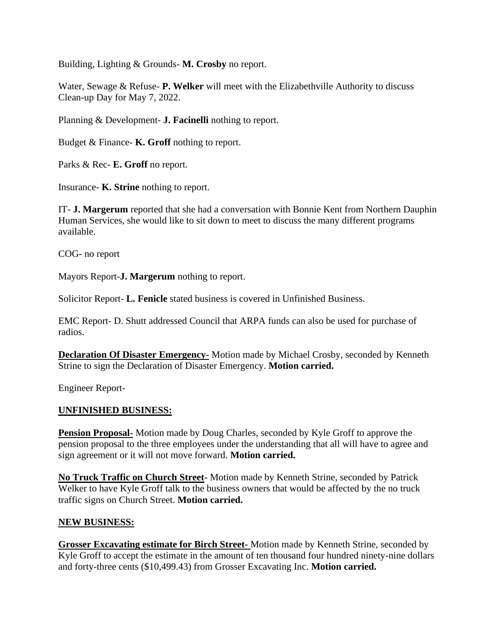Building, Lighting & Grounds- **M. Crosby** no report.

Water, Sewage & Refuse- **P. Welker** will meet with the Elizabethville Authority to discuss Clean-up Day for May 7, 2022.

Planning & Development- **J. Facinelli** nothing to report.

Budget & Finance- **K. Groff** nothing to report.

Parks & Rec- **E. Groff** no report.

Insurance- **K. Strine** nothing to report.

IT- **J. Margerum** reported that she had a conversation with Bonnie Kent from Northern Dauphin Human Services, she would like to sit down to meet to discuss the many different programs available.

COG- no report

Mayors Report-**J. Margerum** nothing to report.

Solicitor Report- **L. Fenicle** stated business is covered in Unfinished Business.

EMC Report- D. Shutt addressed Council that ARPA funds can also be used for purchase of radios.

**Declaration Of Disaster Emergency-** Motion made by Michael Crosby, seconded by Kenneth Strine to sign the Declaration of Disaster Emergency. **Motion carried.**

Engineer Report-

#### **UNFINISHED BUSINESS:**

**Pension Proposal-** Motion made by Doug Charles, seconded by Kyle Groff to approve the pension proposal to the three employees under the understanding that all will have to agree and sign agreement or it will not move forward. **Motion carried.**

**No Truck Traffic on Church Street-** Motion made by Kenneth Strine, seconded by Patrick Welker to have Kyle Groff talk to the business owners that would be affected by the no truck traffic signs on Church Street. **Motion carried.**

#### **NEW BUSINESS:**

**Grosser Excavating estimate for Birch Street-** Motion made by Kenneth Strine, seconded by Kyle Groff to accept the estimate in the amount of ten thousand four hundred ninety-nine dollars and forty-three cents (\$10,499.43) from Grosser Excavating Inc. **Motion carried.**